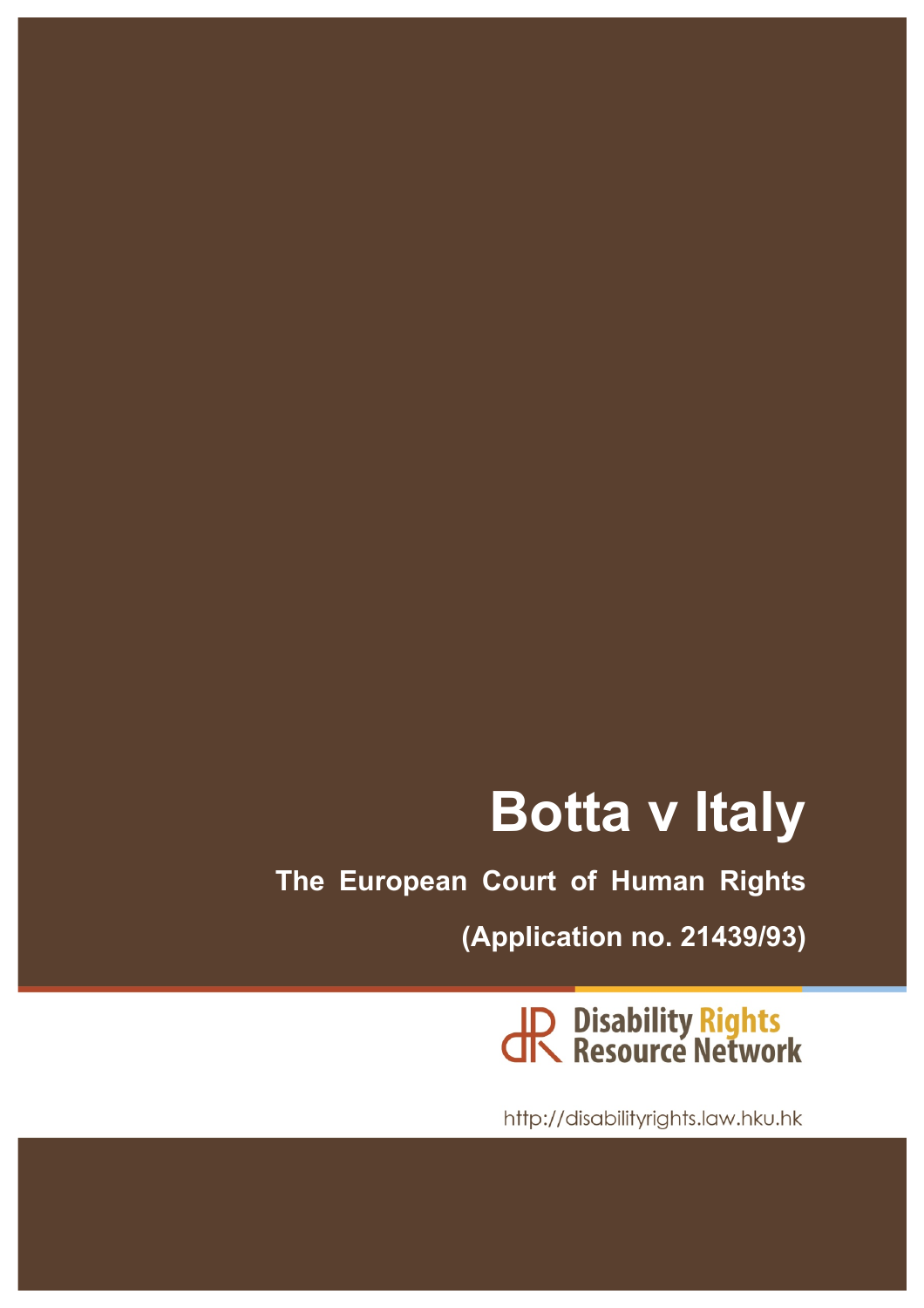# **Botta v Italy**

**The European Court of Human Rights**

**(Application no. 21439/93)**

JP Disability Rights<br>JR Resource Network

http://disabilityrights.law.hku.hk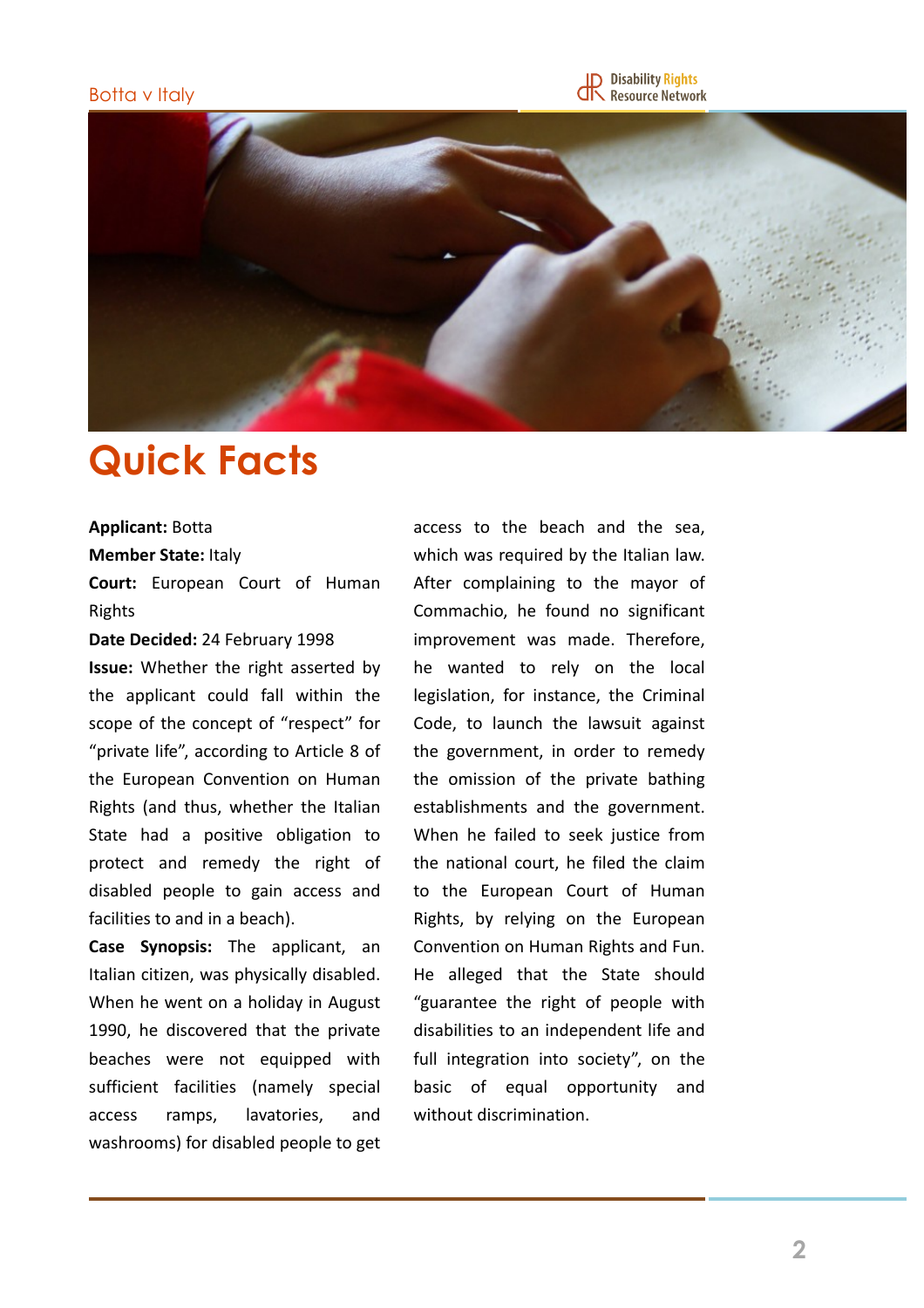#### Botta v Italy

Disability <mark>Rights</mark><br>Resource Network .



## **Quick Facts**

#### **Applicant:** Botta

#### **Member State: Italy**

**Court:** European Court of Human Rights

#### Date Decided: 24 February 1998

**Issue:** Whether the right asserted by the applicant could fall within the scope of the concept of "respect" for "private life", according to Article 8 of the European Convention on Human Rights (and thus, whether the Italian State had a positive obligation to protect and remedy the right of disabled people to gain access and facilities to and in a beach).

**Case Synopsis:** The applicant, an Italian citizen, was physically disabled. When he went on a holiday in August 1990, he discovered that the private beaches were not equipped with sufficient facilities (namely special access ramps, lavatories, and washrooms) for disabled people to get

access to the beach and the sea, which was required by the Italian law. After complaining to the mayor of Commachio, he found no significant improvement was made. Therefore, he wanted to rely on the local legislation, for instance, the Criminal Code, to launch the lawsuit against the government, in order to remedy the omission of the private bathing establishments and the government. When he failed to seek justice from the national court, he filed the claim to the European Court of Human Rights, by relying on the European Convention on Human Rights and Fun. He alleged that the State should "guarantee the right of people with disabilities to an independent life and full integration into society", on the basic of equal opportunity and without discrimination.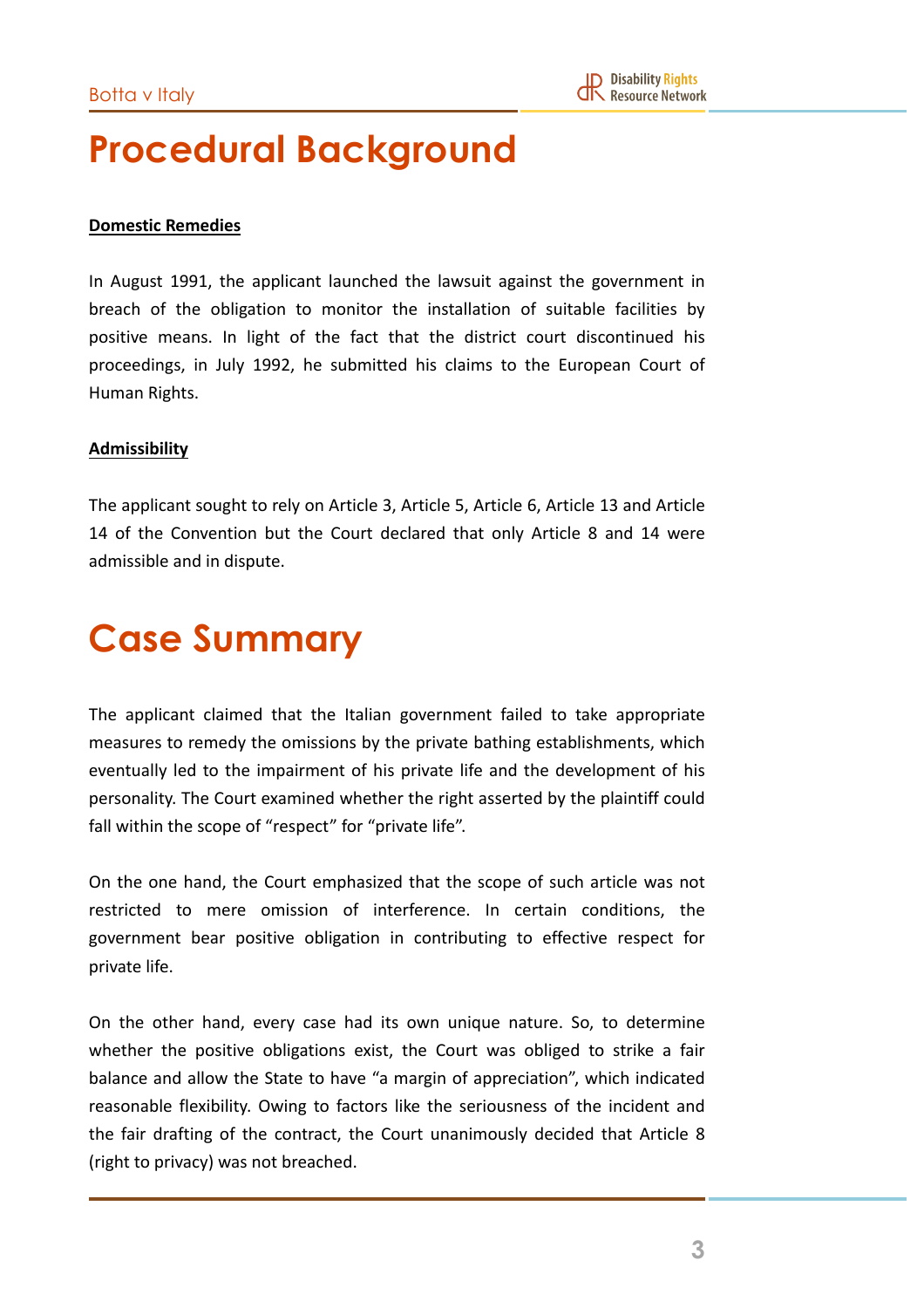## **Procedural Background**

#### **Domestic Remedies**

In August 1991, the applicant launched the lawsuit against the government in breach of the obligation to monitor the installation of suitable facilities by positive means. In light of the fact that the district court discontinued his proceedings, in July 1992, he submitted his claims to the European Court of Human Rights.

#### **Admissibility**

The applicant sought to rely on Article 3, Article 5, Article 6, Article 13 and Article 14 of the Convention but the Court declared that only Article 8 and 14 were admissible and in dispute.

# **Case Summary**

The applicant claimed that the Italian government failed to take appropriate measures to remedy the omissions by the private bathing establishments, which eventually led to the impairment of his private life and the development of his personality. The Court examined whether the right asserted by the plaintiff could fall within the scope of "respect" for "private life".

On the one hand, the Court emphasized that the scope of such article was not restricted to mere omission of interference. In certain conditions, the government bear positive obligation in contributing to effective respect for private life.

On the other hand, every case had its own unique nature. So, to determine whether the positive obligations exist, the Court was obliged to strike a fair balance and allow the State to have "a margin of appreciation", which indicated reasonable flexibility. Owing to factors like the seriousness of the incident and the fair drafting of the contract, the Court unanimously decided that Article 8 (right to privacy) was not breached.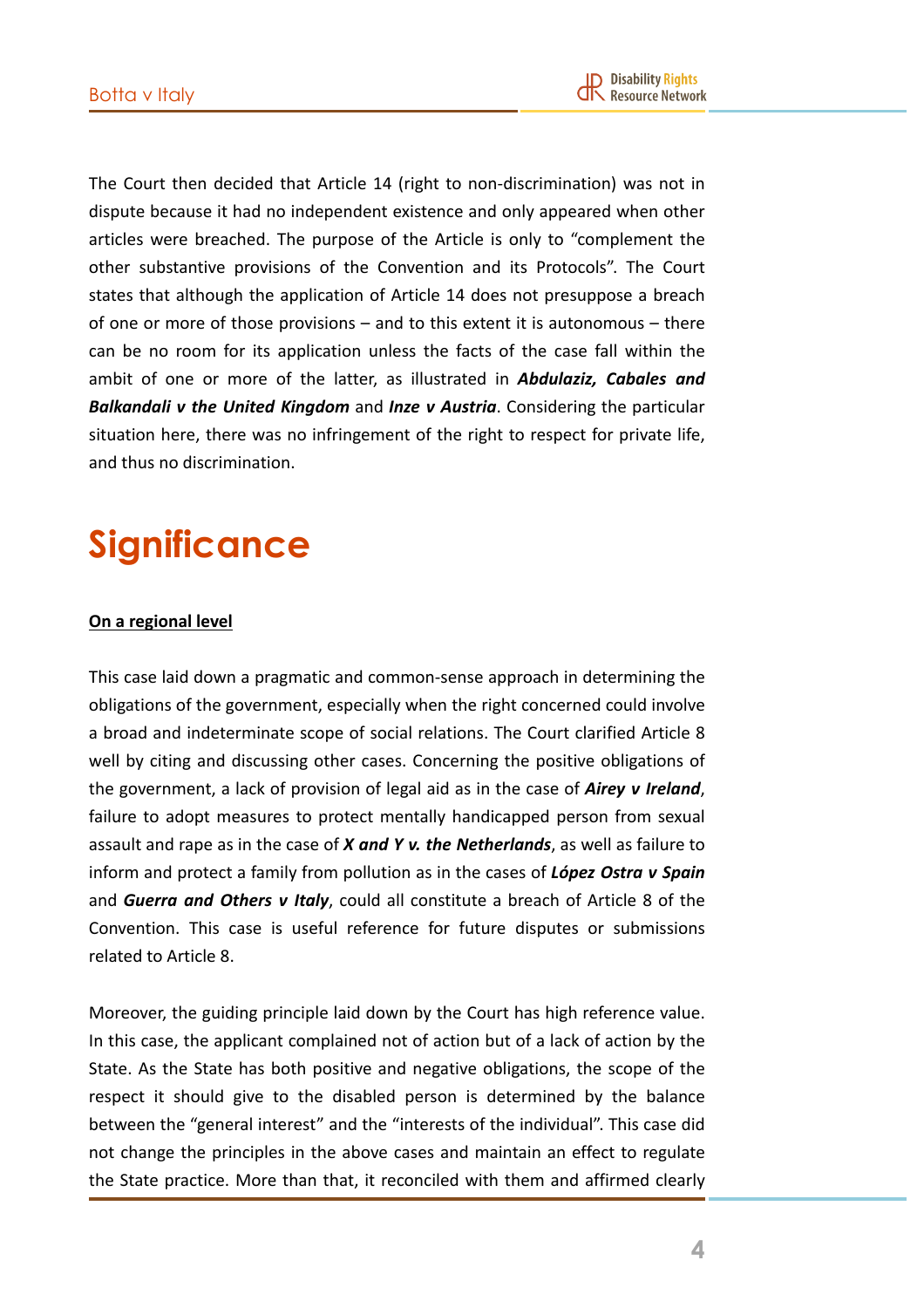The Court then decided that Article 14 (right to non-discrimination) was not in dispute because it had no independent existence and only appeared when other articles were breached. The purpose of the Article is only to "complement the other substantive provisions of the Convention and its Protocols". The Court states that although the application of Article 14 does not presuppose a breach of one or more of those provisions  $-$  and to this extent it is autonomous  $-$  there can be no room for its application unless the facts of the case fall within the ambit of one or more of the latter, as illustrated in **Abdulaziz, Cabales and Balkandali v the United Kingdom** and *Inze* v Austria. Considering the particular situation here, there was no infringement of the right to respect for private life, and thus no discrimination.

# **Significance**

#### **On a regional level**

This case laid down a pragmatic and common-sense approach in determining the obligations of the government, especially when the right concerned could involve a broad and indeterminate scope of social relations. The Court clarified Article 8 well by citing and discussing other cases. Concerning the positive obligations of the government, a lack of provision of legal aid as in the case of *Airey v Ireland*, failure to adopt measures to protect mentally handicapped person from sexual assault and rape as in the case of *X and Y v. the Netherlands*, as well as failure to inform and protect a family from pollution as in the cases of *López Ostra v Spain* and **Guerra and Others v Italy**, could all constitute a breach of Article 8 of the Convention. This case is useful reference for future disputes or submissions related to Article 8

Moreover, the guiding principle laid down by the Court has high reference value. In this case, the applicant complained not of action but of a lack of action by the State. As the State has both positive and negative obligations, the scope of the respect it should give to the disabled person is determined by the balance between the "general interest" and the "interests of the individual". This case did not change the principles in the above cases and maintain an effect to regulate the State practice. More than that, it reconciled with them and affirmed clearly